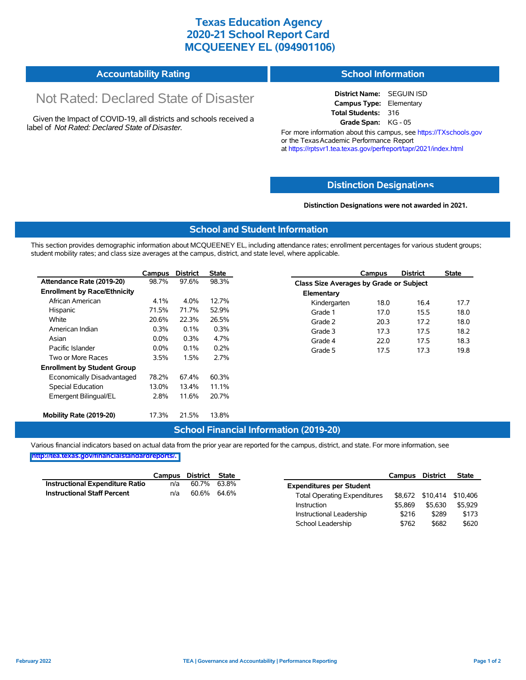## **Texas Education Agency 2020-21 School Report Card MCQUEENEY EL (094901106)**

|                              | <b>School Information</b> |
|------------------------------|---------------------------|
| <b>Accountability Rating</b> |                           |

# Not Rated: Declared State of Disaster

Given the Impact of COVID-19, all districts and schools received a label of *Not Rated: Declared State of Disaster.*

**District Name:** SEGUIN ISD **Campus Type:** Elementary **Total Students:** 316 **Grade Span:** KG - 05

For more information about this campus, see https://TXschools.gov or the Texas Academic Performance Report at https://rptsvr1.tea.texas.gov/perfreport/tapr/2021/index.html

#### **Distinction Designat[ions](https://TXschools.gov)**

**Distinction Designations were not awarded in 2021.**

School Leadership  $$762$  \$682 \$620

#### **School and Student Information**

This section provides demographic information about MCQUEENEY EL, including attendance rates; enrollment percentages for various student groups; student mobility rates; and class size averages at the campus, district, and state level, where applicable.

|                                     | Campus  | <b>District</b> | <b>State</b> |              | Campus                                  | <b>District</b> | <b>State</b> |  |  |
|-------------------------------------|---------|-----------------|--------------|--------------|-----------------------------------------|-----------------|--------------|--|--|
| Attendance Rate (2019-20)           | 98.7%   | 97.6%           | 98.3%        |              | Class Size Averages by Grade or Subject |                 |              |  |  |
| <b>Enrollment by Race/Ethnicity</b> |         |                 |              | Elementary   |                                         |                 |              |  |  |
| African American                    | 4.1%    | 4.0%            | 12.7%        | Kindergarten | 18.0                                    | 16.4            | 17.7         |  |  |
| Hispanic                            | 71.5%   | 71.7%           | 52.9%        | Grade 1      | 17.0                                    | 15.5            | 18.0         |  |  |
| White                               | 20.6%   | 22.3%           | 26.5%        | Grade 2      | 20.3                                    | 17.2            | 18.0         |  |  |
| American Indian                     | 0.3%    | 0.1%            | 0.3%         | Grade 3      | 17.3                                    | 17.5            | 18.2         |  |  |
| Asian                               | $0.0\%$ | 0.3%            | 4.7%         | Grade 4      | 22.0                                    | 17.5            | 18.3         |  |  |
| Pacific Islander                    | $0.0\%$ | $0.1\%$         | 0.2%         | Grade 5      | 17.5                                    | 17.3            | 19.8         |  |  |
| Two or More Races                   | 3.5%    | 1.5%            | 2.7%         |              |                                         |                 |              |  |  |
| <b>Enrollment by Student Group</b>  |         |                 |              |              |                                         |                 |              |  |  |
| Economically Disadvantaged          | 78.2%   | 67.4%           | 60.3%        |              |                                         |                 |              |  |  |
| Special Education                   | 13.0%   | 13.4%           | 11.1%        |              |                                         |                 |              |  |  |
| Emergent Bilingual/EL               | 2.8%    | 11.6%           | 20.7%        |              |                                         |                 |              |  |  |
|                                     |         |                 |              |              |                                         |                 |              |  |  |
| Mobility Rate (2019-20)             | 17.3%   | 21.5%           | 13.8%        |              |                                         |                 |              |  |  |

#### **School Financial Information (2019-20)**

Various financial indicators based on actual data from the prior year are reported for the campus, district, and state. For more information, see

**[http://tea.texas.gov/financialstandardreports/.](http://tea.texas.gov/financialstandardreports/)**

|                                    | Campus | District | State |                                     | Campus  | <b>District</b>           | <b>State</b> |
|------------------------------------|--------|----------|-------|-------------------------------------|---------|---------------------------|--------------|
| Instructional Expenditure Ratio    | n/a    | 60.7%    | 63.8% | <b>Expenditures per Student</b>     |         |                           |              |
| <b>Instructional Staff Percent</b> | n/a    | 60.6%    | 64.6% | <b>Total Operating Expenditures</b> |         | \$8.672 \$10.414 \$10.406 |              |
|                                    |        |          |       | Instruction                         | \$5.869 | \$5.630                   | \$5.929      |
|                                    |        |          |       | Instructional Leadership            | \$216   | \$289                     | \$173        |